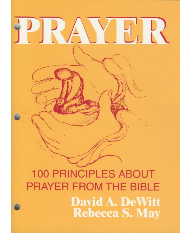# H. P.

# **100 PRINCIPLES ABOUT PRAYER FROM THE BIBLE David A. DeWitt Rebecca S. May**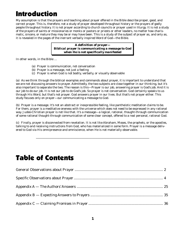# Introduction

My assumption is that the prayers and teaching about prayer offered in the Bible describe proper, good, and correct prayer. This is, therefore, not a study of prayer developed throughout history or the prayers of godly people throughout history. It is not prayer according to church councils or prayer used in liturgy. It is not a study of the prayers of saints or missionaries or monks or pastors or priests or other leaders, no matter how charismatic, sincere, or mature they may be or may have been. This is a study of the subject of prayer as, and only as, it is revealed in the pages of the inerrant verbally inspired Word of God—the Bible.

> *A definition of prayer— Biblical prayer is communicating a message to God when He is not specifically manifested*

In other words, in the Bible …

- (a) Prayer is communication, not conversation
- (b) Prayer is a message, not just a feeling
- (c) Prayer is when God is not bodily, verbally, or visually observable

(a) As we think through the biblical examples and commands about prayer, it is important to understand that we are not discussing answers to prayer. Admittedly, the two subjects are close together in our thinking, but it's also important to separate the two. The reason is this—Prayer is our job, answering prayer is God's job. And it is our job to do our job. It is not our job to do God's job. So prayer is not conversation. God certainly speaks to us through His Word, but that's not prayer. God answers prayer in our lives. But that's not prayer either. This study focuses only on prayer—our communicating a message to God.

(b) Prayer is a message. It's not an abstract or inexpressible feeling, like pantheistic meditation claims to be. For them, prayer is a meditative oneness with the universe which does not need to be expressed in any rational way. Judeo-Christian prayer is not like that. It's a message—a logical, rational, thought-through communication of some rational thought-through communication of some clear concept, offered to a real personal, rational God.

(c) Finally, prayer is disconnected from revelation. It is not like Abraham, Moses, the prophets, or the apostles, talking to and receiving instructions from God, who has materialized in some form. Prayer is a message delivered to God via His omnipresence and omniscience, when He is not materially observable.

\_\_\_\_\_\_\_\_\_\_\_\_\_\_\_\_\_\_\_\_\_\_\_\_\_\_\_\_\_\_\_\_\_\_\_\_\_\_\_\_\_\_\_\_\_\_\_\_\_\_\_\_\_\_\_\_\_\_\_\_\_\_\_\_\_\_\_\_\_\_\_\_\_\_\_\_\_

# Table of Contents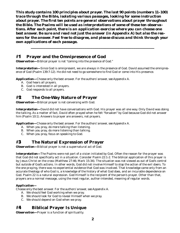*This study contains 100 principles about prayer. The last 90 points (numbers 11–100) trace through the Bible, isolating various passages, looking for some instruction about prayer. The first ten points are general observations about prayer throughout the Bible. The Psalms will be used as interpretations of some of these ten observations. After each point, there is an application exercise where you can choose one best answer. Be sure and read not just the answer (in Appendix A) but also the reasons for the answer. Feel free to disagree, and please discuss and think through your own applications of each passage.*

**\_\_\_\_\_\_\_\_\_\_\_\_\_\_\_\_\_\_\_\_\_\_\_\_\_\_\_\_\_\_\_\_\_\_\_\_\_\_\_\_\_\_\_\_\_\_\_\_\_\_\_\_\_\_\_\_\_\_\_\_**

# #1 **Prayer and the Omnipresence of God**

**Observation**—Biblical prayer is not "coming into the presence of God."

*Interpretation—*Since God is omnipresent, we are always in the presence of God. David assumed the omnipresence of God (Psalm 139:7-12). He did not need to go somewhere to find God or come into His presence.

*Application—Choose only the best answer. For the authors' answer, see Appendix A.*

- A. God hears all prayers.
- B. God is interested in all prayers.
- C. God responds to all prayers.

# #2 **The One-Way Nature of Prayer**

*Observation—*Biblical prayer is not conversing with God.

*Interpretation—*David did not have conversations with God. His prayer was all one way. Only David was doing the talking. As a matter of fact, David often prayed when he felt "forsaken" by God because God did not answer him (Psalm 10:1). Answers to prayer are answers, not prayers.

*Application—Choose only the best answer. For the authors' answer, see Appendix A.*

- A. When you pray, do more talking than listening.
- B. When you pray, do more listening than talking.
- C. When you pray, focus on speaking to God.

# #3 **The Natural Expression of Prayer**

*Observation—Biblical prayer is not a supernatural act of God.* 

*Interpretation*—The Psalms were not part of a vision initiated by God. Often the reason for the prayer was that God did not specifically act in a situation. Consider Psalm 22:1-2. The biblical application of this prayer is by Jesus Christ on the cross (Matthew 27:46; Mark 15:34). The situation was not viewed as out of God's control but outside of God's actions. In other words, God did not involve Himself to stop the action of the evil doers. To the one praying, there was no experiential evidence that God was involved. That knowledge came only from an accurate theology of who God is, a knowledge of the history of what God does, and an incurable dependence on God. Psalm 22 is a natural expression. God Himself is the recipient of the person's prayer. Other than that, prayers are a normal message, using the most regular, author-intended, meaning of regular words.

### *Application—*

*Choose only the best answer. For the authors' answer, see Appendix A.*

- A. We should feel God working when we pray.
- B. We should look for God to reveal Himself when we pray.
- C. We should depend on God when we pray.

# #4 **Biblical Prayer Is Unique**

*Observation—*Prayer is a function of spirituality.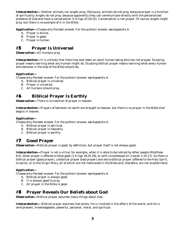*Interpretation—* Neither animals nor angels pray. Obviously, animals do not pray, because prayer is a function of spirituality. Angels do not pray, because apparently they can communicate directly with the personalized presence of God and have a conversation (1 Kings 22:19-22). Conversation is not prayer. Of course, angels might pray, but there is no example of it in the Bible.

*Application—Choose only the best answer. For the authors' answer, see Appendix A.*

- A. Prayer is divine.
- B. Prayer is good.
- C. Prayer is human.

# #5 **Prayer Is Universal**

*Observation—*All humans pray.

*Interpretation—*It is unlikely that there has ever been an adult human being who has not prayed. Studying prayer means learning what any human might do. Studying biblical prayer means learning what every human who believes in the God of the Bible should do.

### *Application—*

*Choose only the best answer. For the authors' answer, see Appendix A.*

- A. Biblical prayer is universal.
- B. Prayer is universal.
- C. All humans should pray.

# #6 **Biblical Prayer Is Earthly**

*Observation—*There is no mention of prayer in heaven.

*Interpretation—*Prayers of believers on earth are brought to heaven, but there is no prayer in the Bible that begins in heaven.

### *Application—*

*Choose only the best answer. For the authors' answer, see Appendix A.*

- A. Biblical prayer is spiritual.
- B. Biblical prayer is heavenly.
- C. Biblical prayer is earthly.

# #7 **Good Prayer**

**Observation—**Biblical prayer is good, by definition, but prayer itself is not always good.

*Interpretation—*Prayer is not a virtue, for example, when it is done to be noticed by other people (Matthew 6:5), when prayer is offered to false gods (1 Kings 18:25-29), or with unconfessed sin (Isaiah 1:10-17). So there is biblical prayer (good prayer), unbiblical prayer (bad prayer) and extra-biblical prayer (offered to the Holy Spirit, to saints, or to the Virgin Mary, all of which are not mentioned in the Bible and, therefore, are not studied here).

### *Application—*

*Choose only the best answer. For the authors' answer, see Appendix A.*

- A. Biblical prayer is always good.
- B. It is always good to pray.
- C. All prayer in the Bible is good.

# #8 **Prayer Reveals Our Beliefs about God**

*Observation—*Biblical prayer assumes many things about God.

*Interpretation—* Biblical prayer assumes God exists, He is involved in the affairs of the world, and He is omnipresent, knowledgeable, powerful, personal, moral, and spiritual.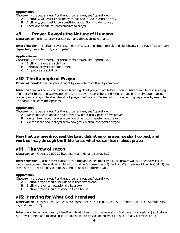*Choose only the best answer. For the authors' answer, see Appendix A.*

- A. Biblically, you must know many things about God in order to pray.
- B. Biblically, you must know something about God in order to pray.
- C. There are no biblical prerequisites to prayer.

# #9 **Prayer Reveals the Nature of Humans**

*Observation—*Biblical prayer assumes many things about humans.

*Interpretation—* Biblical prayer assumes humans are spiritual, moral, and significant. They have free will, are dependent, needy, faithful, and hopeful.

### *Application—*

*Choose only the best answer. For the authors' answer, see Appendix A.*

- A. Biblical prayers are spiritual.
- B. Spiritual prayers are significant.
- C. All people are spiritual.

# #10 **The Example of Prayer**

**Observation**—Biblical prayer is taught by example more than by command.

*Interpretation—*There is no recorded teaching about prayer from Adam, Noah, or Abraham. There is nothing about prayer in the Ten Commandments or the Law. The prophets and kings prayed but rarely taught about prayer. Jesus taught His disciples about prayer, but most of His impact with respect to prayer was by example. The same is true for the Apostles.

### *Application—*

*Choose only the best answer. For the authors' answer, see Appendix A.*

- A. We should learn about prayer from how other godly people have prayed.
- B. We can learn about prayer from how other godly people have prayed.
- C. We can learn about prayer from how godly biblical characters prayed.

### *Now that we have discussed the basic definition of prayer, we shall go back and work our way through the Bible, to see what we can learn about prayer.*

\_\_\_\_\_\_\_\_\_\_\_\_\_\_\_\_\_\_\_\_\_\_\_\_\_\_\_\_\_\_\_\_\_\_\_\_\_\_\_\_\_\_\_\_\_\_\_\_\_\_\_\_\_\_\_\_\_\_\_\_\_\_\_\_\_\_\_\_\_\_\_\_\_\_\_\_\_\_\_\_\_\_\_\_\_

# #11 **The Vow of Jacob**

*Observation—*Genesis 28:20-22 [See also Psalm 61; and James 5:12]

*Interpretation—*Jacob seemed to start thinking and ended up praying. His prayer was a if-then vow. If God would take care of him and return him to his father's house, then (1) the Lord (*Yahweh*) would be his God, (2) the stone he set up would be God's house, and (3) he would tithe to God.

### *Application—*

*Choose only the best answer. For the authors' answer, see Appendix A.*

- A. Biblical prayer should include an if-then statement.
- B. Biblical prayer can occasionally be a vow.
- C. Biblical prayer should be done in God's house.

# #12 **Praying for What God Promised**

*Observation—*Genesis 32:9-12 [See also Genesis 48:15-16; Exodus 2:23-25; Numbers 11:11-12; 2 Samuel 7:19, 29; and Psalm 132]

*Interpretation—*Jacob clearly identified who God was from the revelation God gave his ancestors. Jacob stated his unworthiness and made a specific request, based on God doing what He had already promised to do.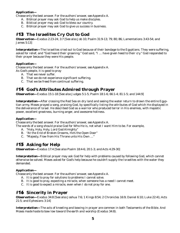*Choose only the best answer. For the authors' answer, see Appendix A.*

- A. Biblical prayer may ask God to help us make disciples.
- B. Biblical prayer may ask God to bless our country.
- C. Biblical prayer may ask God to give us success in business.

# #13 **The Israelites Cry Out to God**

*Observation—*Exodus 2:23-24; 3:7 [See also Job 10; Psalm 31:9-13; 79; 80; 86; Lamentations 3:43-54; and James 5:13]

*Interpretation—*The Israelites cried out to God because of their bondage to the Egyptians. They were suffering, asked for relief, and "God heard their groaning." God said, "I … have given heed to their cry." God responded to their prayer because they were His people.

### *Application—*

*Choose only the best answer. For the authors' answer, see Appendix A.*

- As God's people, it is good to pray
	- A. That we never suffer.
	- B. That we do not experience significant suffering.
	- C. That we be freed from continual suffering.

# #14 **God's Attributes Admired through Prayer**

*Observation—*Exodus 15:1-18 [See also Judges 5:1-5; Psalm 18:1-6; 66:1-4; 81:1-5; and 144:9]

*Interpretation—*After crossing the Red Sea on dry land and seeing the water return to drown the entire Egyptian army, Moses prayed a song, praising God, by specifically listing the attributes of God which He displayed in the deliverance of Israel. He described God as a warrior who produced terror in His enemies, with majestic power, excellent greatness, burning anger, and awesome holiness.

### *Application—*

*Choose only the best answer. For the authors' answer, see Appendix A.*

The words of a song should praise God for Who He is, not what I want Him to be. For example,

- A. "Holy, Holy, Holy, Lord God Almighty"
- B. "At the End of Broken Dreams, He's the Open Door"
- C. "Majesty, Flow from His Throne unto His Own …"

# #15 **Asking for Help**

*Observation—*Exodus 17:4 [See also Psalm 18:4-6; 20:1-3; and Acts 4:29-30]

*Interpretation—*Biblical prayer may ask God for help with problems caused by following God, which cannot otherwise be solved. Moses asked for God's help because he couldn't supply the Israelites with the water they demanded.

### *Application—*

*Choose only the best answer. For the authors' answer, see Appendix A.*

- A. It is good to pray for solutions to problems I cannot solve.
- B. It is good to pray, expecting a miracle, when someone has a need I cannot meet.
- C. It is good to expect a miracle, even when I do not pray for one.

# #16 **Sincerity in Prayer**

*Observation—*Exodus 34:8 [See also Joshua 7:6; 1 Kings 8:54; 2 Chronicles 16:9; Daniel 6:10; Luke 22:41; Acts 21:5; and Ephesians 3:14]

*Interpretation—*The acts of kneeling and bowing in prayer are common in both Testaments of the Bible. *And Moses made haste to bow low toward the earth and worship* (Exodus 34:8).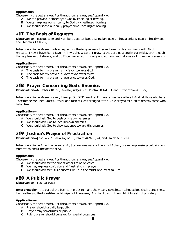*Choose only the best answer. For the authors' answer, see Appendix A.*

- A. We can prove our sincerity to God by kneeling or bowing.
- B. We can express our sincerity to God by kneeling or bowing.
- C. We should spend our daily prayer time kneeling or bowing.

# #17 **The Basis of Requests**

*Observation—*Exodus 34:9 and Numbers 12:3, 13 [See also Isaiah 1:15; 2 Thessalonians 1:11; 1 Timothy 2:8; and Hebrews 13:18-19]

*Interpretation—*Moses made a request for the forgiveness of Israel based on his own favor with God. He said, *If now I have found favor in Thy sight, O Lord, I pray, let the Lord go along in our midst, even though the people are so obstinate; and do Thou pardon our iniquity and our sin, and take us as Thine own possession.*

### *Application—*

*Choose only the best answer. For the authors' answer, see Appendix A.*

- A. The basis for my prayer is my favor towards God.
- B. The basis for my prayer is God's favor towards me.
- C. The basis for my prayer is reverence towards God.

# #18 **Prayer Concerning God's Enemies**

*Observation—*Numbers 10:35 [See also Judges 5:31; Psalm 68:1-4; 83; and 1 Corinthians 16:22]

*Interpretation—*Moses prayed, *Rise up, O LORD! And let Thine enemies be scattered, And let those who hate Thee flee before Thee.* Moses, David, and men of God throughout the Bible prayed for God to destroy those who hate Him.

### *Application—*

*Choose only the best answer. For the authors' answer, see Appendix A.*

- A. We should ask God to destroy His own enemies.
- B. We should ask God to love His own enemies.
- C. We should ask God to show patience toward His enemies.

# #19 **Joshua's Prayer of Frustration**

*Observation—Joshua 7:7* [See also Job 10; Psalm 44:9-16; 74; and Isaiah 63:15-19]

*Interpretation—*After the defeat at Ai, Joshua, unaware of the sin of Achan, prayed expressing confusion and frustration about the defeat at Ai.

### *Application—*

*Choose only the best answer. For the authors' answer, see Appendix A.*

- A. We should ask for the sins of others to be revealed.
- B. We may express confusion and frustration in prayer.
- C. We should ask for future success while in the midst of current failure.

# #20 **A Public Prayer**

*Observation—*Joshua 10:12

*Interpretation—*As part of the battle, in order to make the victory complete, Joshua asked God to stop the sun from setting so the Israelites could wipe out the enemy. And he did so *in the sight of Israel* not privately.

### *Application—*

- A. Prayer should usually be public.
- B. Prayer may sometimes be public.
- C. Public prayer should be saved for special occasions.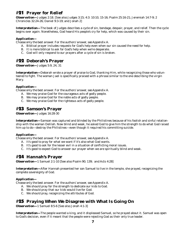# #21 **Prayer for Relief**

*Observation—*Judges 2:18. [See also Judges 3:15; 4:3: 10:10, 15-16; Psalm 25:16-21; Jeremiah 14:7-9; 2 Chronicles 32:24-26; Daniel 9:3-19; and Jonah 2]

*Interpretation—*The book of Judges describes a cycle of sin, bondage, despair, prayer, and relief. Then the cycle begins over again. Nonetheless, God heard His people's cry for help, which was caused by their sin.

### *Application—*

*Choose only the best answer. For the authors' answer, see Appendix A.*

- A. Biblical prayer includes requests for God's help even when our sin caused the need for help.
- B. It is more biblical to ask for God's help when we're desperate.
- C. God will only respond to our prayers after a cycle of sin is broken.

# #22 **Deborah's Prayer**

*Observation—*Judges 5:9, 24, 31

*Interpretation*—Deborah wrote a prayer of praise to God, thanking Him, while recognizing those who volunteered to fight. The woman Jael is specifically praised with a phrase similar to the one describing the virgin Mary.

### *Application—*

*Choose only the best answer. For the authors' answer, see Appendix A.*

- A. We may praise God for the courageous acts of godly people.
- B. We may praise God for the noble acts of godly people.
- C. We may praise God for the righteous acts of godly people.

# #23 **Samson's Prayer**

### *Observation—*Judges 16:28-30

*Interpretation—*Samson was captured and blinded by the Philistines because of his foolish and sinful relationship with the woman Delilah. Now blind and weak, he asked God to give him the strength to do what God raised him up to do—destroy the Philistines—even though it required his committing suicide.

### *Application—*

*Choose only the best answer. For the authors' answer, see Appendix A.*

- A. It's good to pray for what we want if it's also what God wants.
- B. It's good to ask for the lesser evil in a situation of conflicting moral issues.
- C. It's good to expect God to answer our prayer when we are spiritually blind and weak.

# #24 **Hannah's Prayer**

*Observation—*1 Samuel 2:1-10 [See also Psalm 90; 139; and Acts 4:28]

*Interpretation—*After Hannah presented her son Samuel to live in the temple, she prayed, recognizing the complete sovereignty of God.

### *Application—*

*Choose only the best answer. For the authors' answer, see Appendix A.*

- A. We should pray for the strength to dedicate our kids to God.
- B. We should pray that our kids would live for God.
- C. We should pray, recognizing the attributes of God.

# #25 **Praying When We Disagree with What Is Going On**

*Observation—*1 Samuel 8:5-6 [See also Jonah 4:1-3]

*Interpretation—*The people wanted a king, and it displeased Samuel, so he prayed about it. Samuel was open to God's decision, even if it meant that the people were rejecting God as their only true leader.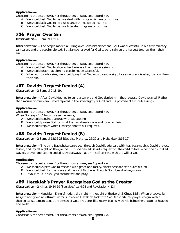*Choose only the best answer. For the authors' answer, see Appendix A.*

- A. We should ask God to help us deal with things which we do not like.
- B. We should ask God to help us change things we do not like.
- C. We should ask God to help us tolerate things we do not like.

# #26 **Prayer Over Sin**

*Observation—*1 Samuel 12:17-18

*Interpretation—*The people made Saul king over Samuel's objections. Saul was successful in his first military campaign, and the people rejoiced. But Samuel prayed for God to send rain on the harvest to show them their sin.

### *Application—*

*Choose only the best answer. For the authors' answer, see Appendix A.*

- A. We should ask God to show other believers that they are sinning.
- B. We should pray that sinning people not be successful.
- C. When our country sins, we should pray that God would send a sign, like a natural disaster, to show them their sin.

# #27 **David's Request Denied (A)**

*Observation—*2 Samuel 7:18-19b

*Interpretation—*After David desired to build a temple and God denied him that request, David prayed. Rather than mourn or complain, David rejoiced in the sovereignty of God and His promise of future blessings.

### *Application—*

*Choose only the best answer. For the authors' answer, see Appendix A.* When God says "no" to our prayer requests,

- A. We should continue to pray without ceasing.
- B. We should praise God for what He has already done and for who He is.
- C. We should rejoice when God says "no" to our requests.

# #28 **David's Request Denied (B)**

*Observation—*2 Samuel 12:16-23 [See also Matthew 26:39 and Habakkuk 3:16-19]

*Interpretation—*The child Bathsheba conceived, through David's adultery with her, became sick. David prayed, fasted, and lay all night on the ground. But God denied David's request for the child to live. When the child died, David's prayer and fasting ended. David always made himself content with the will of God.

### *Application—*

*Choose only the best answer. For the authors' answer, see Appendix A.*

- A. We should expect God to respond with grace and mercy, since these are attributes of God.
- B. We should ask for the grace and mercy of God, even though God doesn't always grant it.
- C. If your child is sick, you should fast and pray.

# #29 **Hezekiah's Prayer Recognizes God as the Creator**

*Observation—*2 Kings 19:14-19 [See also Acts 4:24 and Revelation 4:11]

*Interpretation—*Hezekiah, King of Judah, *did right in the sight of the Lord* (2 Kings 18:3). When attacked by Assyria and given an ultimatum for surrender, Hezekiah took it to God. Most biblical prayers begin with a theological statement about the person of God. This one, like many, begins with His being the Creator of heaven and earth.

*Application—*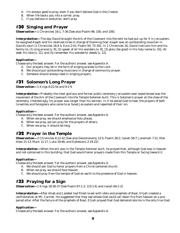- A. It's always good to pray, even if you don't believe God is the Creator.
- B. When life backs you into a corner, pray.
- C. If you believe in evolution, don't pray.

# #30 **Singing and Prayer**

*Observation—*1 Chronicles 16:1, 7-36 [See also Psalm 96; 105; and 106]

*Interpretation—*The day David brought the Ark of the Covenant into the tent he had put up for it in Jerusalem, he assigned Asaph and his relatives to be in charge of thanking God. Asaph was an outstanding musician in David's court (1 Chronicles 16:4-5; Ezra 2:41; Psalm 50; 73–83). In 1 Chronicles 16, David instructs him and his family to: (1) sing praise [v. 9], (2) speak of all His wonders [v. 9], (3) glory (be glad) in His holy name [v. 10], (4) seek His face [v. 11], and (5) remember His wonderful deeds [v. 12].

### *Application—*

*Choose only the best answer. For the authors' answer, see Appendix A.*

- A. Our prayers may be in the form of singing praises to the Lord.
- B. We should put outstanding musicians in charge of community prayer.
- C. Someone should always lead in singing prayers.

# #31 **Solomon's Long Prayer**

*Observation—*1 Kings 8:22-54 and 9:1-9

*Interpretation—*Probably the most glorious and formal public ceremony Jerusalem ever experienced was the movement of the Ark of the Covenant into the Temple Solomon built. This is Solomon's prayer at the close of the ceremony. Interestingly, his prayer was longer than his sermon. In it he asked God to hear the prayers of both Israelites and foreigners who came to or faced Jerusalem and repented of their sin.

### *Application—*

*Choose only the best answer. For the authors' answer, see Appendix A.*

- A. When we pray, we should emphasize holy places.
- B. When we pray, we can pray for the prayers of others.
- C. When we pray, it should be long.

# #32 **Prayer in the Temple**

*Observation—*2 Chronicles 6:12-42 [See also Deuteronomy 12:5; Psalm 28:2; Isaiah 56:7; Jeremiah 7:11; Matthew 21:13; Mark 11:17; Luke 19:46; and Ephesians 2:19-22]

*Interpretation—*When the ark was in the Temple Solomon built, he prayed that, although God was in heaven and not contained in this building, that God would honor prayers made from this Temple or facing toward it.

### *Application—*

*Choose only the best answer. For the authors' answer, see Appendix A.*

- A. We should ask God to honor prayers from a Christ-centered church.
- B. When we pray, we should face heaven.
- C. We should pray from the temple of God on earth to the presence of God in heaven.

# #33 **Praying for a Sign**

*Observation—*1 Kings 18:36-37 [See Psalm 67:1-2; 115:1-8; and Isaiah 64:1-2]

*Interpretation—*After Ahab and Jezebel had filled Israel with idols and prophets of Baal, Elijah created a confrontation at Mt. Carmel. He suggested that they see whose God could call down fire from heaven on a prepared altar. After the failure of the prophets of Baal, Elijah prayed that God demonstrate He is the only true God.

### *Application—*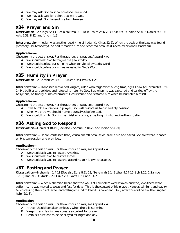- A. We may ask God to show someone He is God.
- B. We may ask God for a sign that He is God.
- C. We may ask God to send fire from heaven.

# #34 **Prayer and Sin**

*Observation—*2 Kings 22:13 [See also Ezra 9:1–10:1; Psalm 25:6-7; 38; 51; 66:18; Isaiah 55:6-9; Daniel 9:3-14; Acts 2:38; 8:22; and 1 John 1:9]

*Interpretation—*Josiah was another good king of Judah (1 Kings 22:2). When the book of the Law was found (probably Deuteronomy), he had it read to him and repented because it revealed his and Israel's sin.

### *Application—*

*Choose only the best answer. For the authors' answer, see Appendix A.*

- A. We should ask God to forgive the Jews today.
- B. We should confess our sin only when convicted by God's Word.
- C. We should confess our sin as revealed in God's Word.

# #35 **Humility in Prayer**

*Observation—*2 Chronicles 33:10-13 [See also Ezra 8:21-23]

*Interpretation—*Manasseh was a bad king of Judah who reigned for a long time, ages 12-67 (2 Chronicles 33:1- 2). He built altars to idols and refused to listen to God. But when he was captured and carried off by the Assyrians, he finally humbled himself. God listened and restored him when he humbled himself.

### *Application—*

*Choose only the best answer. For the authors' answer, see Appendix A.*

- A. If we humble ourselves in prayer, God will restore us to our earthly position.
- B. When we pray, we should humble ourselves before God.
- C. We should turn to God in the midst of a crisis, expecting Him to resolve the situation.

# #36 **Asking God to Respond**

*Observation—*Daniel 9:18-19 [See also 2 Samuel 7:18-29 and Isaiah 55:6-9]

*Interpretation—*Daniel confessed that Jerusalem fell because of Israel's sin and asked God to restore it based on His compassion and promises.

### *Application—*

*Choose only the best answer. For the authors' answer, see Appendix A.*

- A. We should ask God to restore America.
- B. We should ask God to restore Israel.
- C. We should ask God to respond according to His own character.

# #37 **Fasting and Prayer**

*Observation—*Nehemiah 1:4-11 [See also Ezra 8:21-23; Nehemiah 9:1; Esther 4:14-16; Job 1:20; 2 Samuel 12:16; Daniel 9:3; Mark 9:29; Luke 2:37; Acts 13:3; and 14:23]

*Interpretation—*When Nehemiah heard that the walls of Jerusalem were broken and the Jews there were suffering, he was moved to weep and fast for days. This is the context of his prayer. He prayed night and day (v. 6), confessing the sins of Israel and calling on God to keep His covenant. Only after this did he ask the king for help (2:1-8).

### *Application—*

- A. Prayer should be taken seriously when there is suffering.
- B. Weeping and fasting may create a context for prayer.
- C. Serious situations must be prayed for night and day.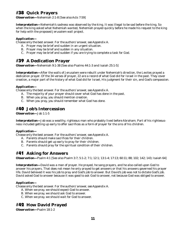# #38 **Quick Prayers**

*Observation—*Nehemiah 2:1-8 [See also Acts 7:59]

*Interpretation—*Nehemiah's sadness was observed by the king. It was illegal to be sad before the king. So when the king asked what Nehemiah wanted, Nehemiah prayed quickly before he made his request to the king for help with the proposed Jerusalem wall project.

### *Application—*

*Choose only the best answer. For the authors' answer, see Appendix A.*

- A. Prayer may be brief and sudden in an urgent situation.
- B. Prayer may be brief and sudden in any situation.
- C. Prayer may be brief and sudden if you are trying to complete a task for God.

# #39 **A Dedication Prayer**

*Observation—*Nehemiah 9:1-38 [See also Psalms 44:1-3 and Isaiah 25:1-5]

*Interpretation—*After the walls of Jerusalem were rebuilt under Nehemiah's direction, the Levites prayed a dedication prayer. Of the 34 verses of prayer, 22 are a record of what God did for Israel in the past. They cover creation, a major part of the history of what God did for Israel, His judgment for their sin, and God's compassion.

### *Application—*

*Choose only the best answer. For the authors' answer, see Appendix A.*

- A. The majority of your prayer should cover what God has done in the past.
- B. When you pray, you should mention creation.
- C. When you pray, you should remember what God has done.

# #40 **Job's Intercession**

*Observation—*Job 1:1-5

*Interpretation—Job* was a wealthy, righteous man who probably lived before Abraham. Part of his righteousness included getting up early to offer sacrifices as a form of prayer for the sins of his children.

### *Application—*

*Choose only the best answer. For the authors' answer, see Appendix A.*

- A. Parents should make sacrifices for their children.
- B. Parents should get up early to pray for their children.
- C. Parents should pray for the spiritual condition of their children.

# #41 **Asking for Answers**

*Observation—*Psalm 4:1 [See also Psalm 3:7; 5:1-2; 7:1; 12:1; 13:1-4; 17:13; 60:11; 88; 102; 142; 143; Isaiah 64]

*Interpretation—*David was a man of prayer. He prayed, he sang prayers, and he also called upon God to answer his prayers. That does not mean he only prayed to get answers or that his answers governed his prayer life. David believed it was his job to pray and God's job to answer. But David's job was not to dictate God's job. David asked God to answer because it was good to ask God to answer, not because God was obliged to answer.

### *Application—*

*Choose only the best answer. For the authors' answer, see Appendix A.*

- A. When we pray, we should expect God to answer.
- B. When we pray, we should ask God to answer.
- C. When we pray, we should wait for God to answer.

# #42 **How David Prayed**

*Observation—*Psalm 18:1-2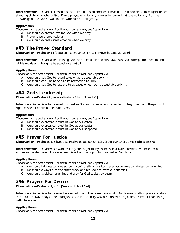*Interpretation—*David expressed his love for God. It's an emotional love, but it's based on an intelligent understanding of the character of God. David prayed emotionally. He was in love with God emotionally. But the knowledge of the God he was in love with came intelligently.

### *Application—*

*Choose only the best answer. For the authors' answer, see Appendix A.*

- A. We should express a love for God when we pray.
- B. Prayer should be emotional.
- C. We should express some emotion when we pray.

# #43 **The Prayer Standard**

*Observation—*Psalm 19:14 [See also Psalms 34:15-17; 131; Proverbs 15:8, 29; 28:9]

*Interpretation—*David, after praising God for His creation and His Law, asks God to keep him from sin and to let his words and thoughts be acceptable to God.

### *Application—*

*Choose only the best answer. For the authors' answer, see Appendix A.*

- A. We should ask God to reveal to us what is acceptable to Him.
- B. We should ask God to help us be acceptable to Him.
- C. We should ask God to respond to us based on our being acceptable to Him.

# #44 **God's Leadership**

*Observation—*Psalm 23 [See also Psalm 27:1-6; 63; and 71]

*Interpretation—*David expressed his trust in God as his leader and provider. *…He guides me in the paths of righteousness For His name's sake* (23:3).

### *Application—*

*Choose only the best answer. For the authors' answer, see Appendix A.*

- A. We should express our trust in God as our coach.
- B. We should express our trust in God as our captain.
- C. We should express our trust in God as our shepherd.

# #45 **Prayer For Justice**

*Observation—*Psalm 35:1, 5 [See also Psalm 55; 56; 59; 64; 69; 70; 94; 109; 140; Lamentations 3:55-66]

*Interpretation—*David was a warrior king. He fought many enemies. But David never saw himself or his armies as the destroyer of his enemies. David left that up to God and asked God to do it.

### *Application—*

*Choose only the best answer. For the authors' answer, see Appendix A.*

- A. We should take reasonable action in conflict situations but never assume we can defeat our enemies.
- B. We should always turn the other cheek and let God deal with our enemies.
- C. We should avoid our enemies and pray for God to destroy them.

# #46 **Prayers For Desires**

*Observation—*Psalm 84:1, 2, 10 [See also John 17:24]

*Interpretation—*David expresses his desire to be in the presence of God in God's own dwelling place and stand in His courts. David says if he could just stand in the entry way of God's dwelling place, it's better than living with the wicked.

### *Application—*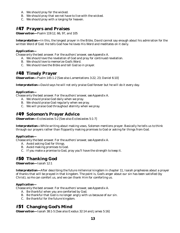- A. We should pray for the wicked.
- B. We should pray that we not have to live with the wicked.
- C. We should pray with a longing for heaven.

# #47 **Prayers and Praises**

*Observation—*Psalm 119:12, 66, 97, and 105

*Interpretation—*In this, the longest prayer in the Bible, David cannot say enough about his admiration for the written Word of God. He tells God how he loves His Word and meditates on it daily.

### *Application—*

*Choose only the best answer. For the authors' answer, see Appendix A.*

- A. We should love the revelation of God and pray for continued revelation.
- B. We should love to memorize God's Word.
- C. We should love the Bible and tell God so in prayer.

# #48 **Timely Prayer**

*Observation—*Psalm 145:1-2 [See also Lamentations 3:22, 23; Daniel 6:10]

*Interpretation—*David says he will not only praise God forever but he will do it every day.

### *Application—*

*Choose only the best answer. For the authors' answer, see Appendix A.*

- A. We should praise God daily when we pray.
- B. We should praise God regularly when we pray.
- C. We will praise God throughout eternity when we pray.

# #49 **Solomon's Prayer Advice**

*Observation—*Ecclesiastes 5:2 [See also Ecclesiastes 5:1-7]

*Interpretation—*While writing about making vows, Solomon mentions prayer. Basically he tells us to think through our prayers rather than flippantly making promises to God or asking for things from God.

### *Application—*

*Choose only the best answer. For the authors' answer, see Appendix A.*

- A. Avoid asking God for things.
- B. Avoid making promises to God.
- C. If you make a promise to God, pray you'll have the strength to keep it.

# #50 **Thanking God**

*Observation—*Isaiah 12:1

*Interpretation—*After describing the future millennial kingdom in chapter 11, Isaiah prophesies about a prayer of thanks that will be prayed in that kingdom. The point is, God's anger about our sin has been satisfied (by Christ), so He can comfort us, and we can thank Him for comforting us.

### *Application—*

*Choose only the best answer. For the authors' answer, see Appendix A.*

- A. Be thankful when you are comforted by God.
- B. Be thankful that God is no longer angry with us because of our sin.
- C. Be thankful for the future kingdom.

# #51 **Changing God's Mind**

*Observation—*Isaiah 38:1-5 [See also Exodus 32:14 and James 5:16]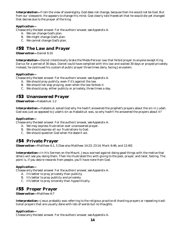*Interpretation—*From the view of sovereignty, God does not change, because then He would not be God. But from our viewpoint, He appears to change His mind. God clearly told Hezekiah that he would die yet changed that decree due to the prayer of the king.

### *Application—*

*Choose only the best answer. For the authors' answer, see Appendix A.*

- A. We can change God's plan.
- B. We might change God's plan.
- C. We cannot change God's plan.

# #52 **The Law and Prayer**

*Observation—*Daniel 6:10

*Interpretation—*Daniel intentionally broke the Medo-Persian law that forbid prayer to anyone except King Darius for a period of 30 days. Daniel could have complied with this law and waited 30 days or prayed privately. Instead, he continued his custom of public prayer three times daily, facing Jerusalem.

### *Application—*

*Choose only the best answer. For the authors' answer, see Appendix A.*

- A. We should pray publicly, even if it's against the law.
- B. We should not stop praying, even when the law forbids it.
- C. We should pray, either publicly or privately, three times a day.

# #53 **Unanswered Prayer**

*Observation—*Habakkuk 1:2

*Interpretation—*Habakkuk asked God why He hadn't answered the prophet's prayers about the sin in Judah. God was just as opposed to Judah's sin as Habakkuk was, so why hadn't He answered the prayers about it?

### *Application—*

*Choose only the best answer. For the authors' answer, see Appendix A.*

- A. We may express frustration over unanswered prayer.
- B. We should express all our frustrations to God.
- C. We should question God when He doesn't act.

# #54 **Private Prayer**

*Observation—*Matthew 6:1, 5 [See also Matthew 14:23; 23:14; Mark 6:46; and 12:40]

*Interpretation—*In His Sermon on the Mount, Jesus warned against doing good things with the motive that others will see you doing them. Then He illustrated this with giving to the poor, prayer, and later, fasting. The point is, if you desire rewards from people, you'll have none from God.

### *Application—*

*Choose only the best answer. For the authors' answer, see Appendix A.*

- A. It's better to pray privately than publicly.
- B. It's better to pray publicly and privately.
- C. It's better to pray sincerely than hypocritically.

# #55 **Proper Prayer**

*Observation—*Matthew 6:7

*Interpretation—*Jesus probably was referring to the religious practice of chanting prayers or repeating traditional prayers that are usually done with lots of words but no thoughts.

### *Application—*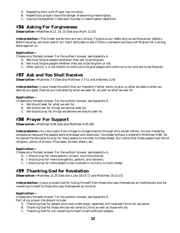- A. Repeating the Lord's Prayer has no value.
- B. Repetitious prayers have the danger of becoming meaningless.
- C. Saying the Apostles' Creed each Sunday is meaningless repetition.

# #56 **Asking For Forgiveness**

*Observation—*Matthew 6:12, 14, 15 [See also Mark 11:25]

*Interpretation—*The Greek words here are very strong. *Forgive us our debts only as we forgive our debtors.* Before we pray, we must search our heart attitudes to see if there is someone we have not forgiven for a wrong done against us.

### *Application—*

*Choose only the best answer. For the authors' answer, see Appendix A.*

- A. We must forgive people whenever they ask to be forgiven.
- B. We must forgive people whether they ask to be forgiven or not.
- C. After awhile, it is not helpful to continue to forgive people who continue to sin and ask to be forgiven.

# #57 **Ask and You Shall Receive**

*Observation—*Matthew 7:7 [See also Matthew 7:7-11 and Hebrews 11:6]

*Interpretation—*Jesus made the point that our heavenly Father wants to give us what we desire when our desires are good. Desires are indicated by what we seek for, as well as what we ask for.

### *Application—*

*Choose only the best answer. For the authors' answer, see Appendix A.*

- A. We should seek for what we ask for.
- B. We should ask for things we cannot seek for.
- C. We should pray for things we believe we should seek for.

# #58 **Prayer For Support**

*Observation—*Matthew 9:38 [See also Matthew 9:35-38]

*Interpretation—*As Jesus went from village to village (mainly through the Jezreel Valley), He was moved by compassion because the people were *distressed and downcast, like sheep without a shepherd* (Matthew 9:36). So He asked the disciples to pray for more people to minister to these sheep. But notice that these people had lots of religions, plenty of priests, Pharisees, scribes, elders, etc.

### *Application—*

*Choose only the best answer. For the authors' answer, see Appendix A.*

- A. I should pray for more pastors, priests, and missionaries.
- B. I should pray for more evangelists, pastors, and teachers.
- C. I should pray for more people to be involved in ministry to God's sheep.

# #59 **Thanking God for Revelation**

*Observation—*Matthew 11:25 [See also Luke 18:15-17 and Matthew 19:13-15]

*Interpretation—*Jesus praised God for hiding Himself from those who saw themselves as intellectuals and for revealing Himself to those who saw themselves as children.

### *Application—*

*Choose only the best answer. For the authors' answer, see Appendix A.*

Part of my prayer life should include:

- A. Thanking God for people who have understood, repented, and received Christ for salvation.
- B. Thanking God for those who do not come to Christ as well as those who do.
- C. Thanking God for not revealing Himself to self-sufficient people.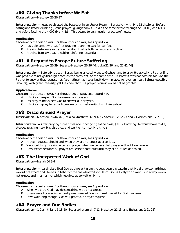# #60 **Giving Thanks before We Eat**

*Observation—*Matthew 26:26-27

*Interpretation—*Jesus celebrated the Passover in an Upper Room in Jerusalem with His 12 disciples. Before eating and before drinking, Jesus prayed, giving thanks. He did the same before feeding the 5,000 (John 6:11) and before feeding the 4,000 (Mark 8:6). This seems to be a regular practice of Jesus.

### *Application—*

*Choose only the best answer. For the authors' answer, see Appendix A.*

- A. It's a sin to eat without first praying, thanking God for our food.
- B. Praying before we eat is one tradition that is both common and biblical.
- C. Praying before we eat is neither sinful nor essential.

# #61 **A Request to Escape Future Suffering**

*Observation—*Matthew 26:39 [See also Matthew 26:36-46; Luke 21:36; and 22:41-44]

*Interpretation—*Before His death, Jesus, being grieved, went to Gethsemane to pray. He asked His Father if it was possible to not go through death on the cross. Yet, at the same time, He knew it was not possible for God the Father to answer that request. It's fascinating that Jesus knelt down, prayed for over an hour, 3 times (possibly 3 hours), with great intensity, yet He knew that His prayer request would not be granted.

### *Application—*

*Choose only the best answer. For the authors' answer, see Appendix A.*

- A. It's okay to expect God to answer our prayers.
- B. It's okay to not expect God to answer our prayers.
- C. It's okay to pray for an outcome we do not believe God will bring about.

# #62 **Discontinued Prayer**

*Observation—*Matthew 26:44-46 [See also Matthew 26:39-46; 2 Samuel 12:22-23 and 2 Corinthians 12:7-10]

*Interpretation—*After praying three times about not going to the cross, Jesus, knowing He would have to die, stopped praying, took His disciples, and went on to meet His killers.

### *Application—*

*Choose only the best answer. For the authors' answer, see Appendix A.*

- A. Prayer requests should end when they are no longer appropriate.
- B. We should stop praying a certain prayer when we believe that prayer will not be answered.
- C. Persistence requires all prayer requests to continue until they are fulfilled or denied.

# #63 **The Unexpected Work of God**

*Observation—*Isaiah 64:3-4

*Interpretation—*Isaiah described God as different from the gods people create in that He *did awesome things we did not expect* and He *acts in behalf of the one who waits for Him*. God is likely to answer us in a way we do not expect and in a manner which requires us to wait on Him.

### *Application—*

*Choose only the best answer. For the authors' answer, see Appendix A.*

- A. When we pray, God may do something we do not expect.
- B. Unanswered prayer is not really unanswered. We just need to wait for God to answer it.
- C. If we wait long enough, God will grant our prayer request.

# #64 **Prayer and Our Bodies**

*Observation—*1 Corinthians 6:18-20 [See also Jeremiah 7:11; Matthew 21:13; and Ephesians 2:21-22]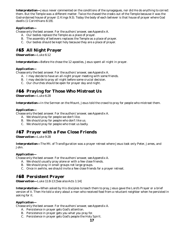*Interpretation—Jesus never commented on the conditions of the synagogues, nor did He do anything to correct* them. But the Temple was a different matter. Twice He chased the crooks out of the Temple because it was the God-ordained house of prayer (1 Kings 9:3). Today the body of each believer is that house of prayer where God dwells (1 Corinthians 6:19).

### *Application—*

*Choose only the best answer. For the authors' answer, see Appendix A.*

- A. Our bodies replace the Temple as a place of prayer.
- B. The assembly of believers replaces the Temple as a place of prayer.
- C. Our bodies should be kept holy because they are a place of prayer.

# #65 **All Night Prayer**

*Observation—*Luke 6:12

*Interpretation—*Before He chose the 12 apostles, Jesus spent all night in prayer.

### *Application—*

*Choose only the best answer. For the authors' answer, see Appendix A.*

- A. I may decide to have an all-night prayer meeting with some friends.
- B. I may decide to pray all night before some crucial decision.
- C. Our churches should be open for prayer day and night.

# #66 **Praying for Those Who Mistreat Us**

*Observation—*Luke 6:28

*Interpretation—*In the Sermon on the Mount, Jesus told the crowd to pray for people who mistreat them.

### *Application—*

*Choose only the best answer. For the authors' answer, see Appendix A.*

- A. We should pray for people we don't like.
- B. We should pray for people who don't like us.
- C. We should pray for people who treat us badly.

# #67 **Prayer with a Few Close Friends**

*Observation—*Luke 9:28

*Interpretation—*The Mt. of Transfiguration was a prayer retreat where Jesus took only Peter, James, and John.

### *Application—*

*Choose only the best answer. For the authors' answer, see Appendix A.*

- A. We should usually pray alone or with a few close friends.
- B. We should pray in small groups not large groups.
- C. Once in awhile, we should invite a few close friends for a prayer retreat.

# #68 **Persistent Prayer**

*Observation—*Luke 11:8-13 [See also Acts 1:14]

*Interpretation—*When asked by His disciples to teach them to pray, Jesus gave the Lord's Prayer or a brief version of it. Then He told a story about a man who received food from a reluctant neighbor when he persisted in asking for it.

### *Application—*

- A. Persistence in prayer gets God's attention.
- B. Persistence in prayer gets you what you pray for.
- C. Persistence in prayer gets God's people the Holy Spirit.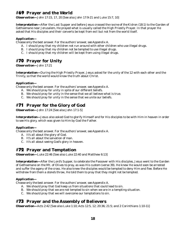# #69 **Prayer and the World**

*Observation—*John 17:15, 17, 20 [See also John 17:9-21 and Luke 15:7, 10]

*Interpretation—*After the Last Supper and before Jesus crossed *the ravine of the Kidron* (18:1) to the Garden of Gethsemane near Jerusalem, He prayed what is usually called the High Priestly Prayer. In that prayer He asked that His disciples and their converts be kept from evil but not from the world itself.

### *Application—*

*Choose only the best answer. For the authors' answer, see Appendix A.*

- A. I should pray that my children not run around with other children who use illegal drugs.
- B. I should pray that my children not be tempted to use illegal drugs.
- C. I should pray that my children will be kept from using illegal drugs.

# #70 **Prayer for Unity**

*Observation—*John 17:21

*Interpretation—*During the High Priestly Prayer, Jesus asked for the unity of the 12 with each other and the Trinity, so that the world would know the truth about Christ.

### *Application—*

*Choose only the best answer. For the authors' answer, see Appendix A.*

- A. We should pray for unity in spite of our different beliefs.
- B. We should pray for unity in the sense that we all believe what is true.
- C. We should pray for unity in the sense that we unite our beliefs.

# #71 **Prayer for the Glory of God**

*Observation—*John 17:24 [See also John 17:1-5]

*Interpretation—*Jesus also asked God to glorify Himself and for His disciples to be with Him in heaven in order to see His glory, which was given to Him by God the Father.

### *Application—*

*Choose only the best answer. For the authors' answer, see Appendix A.*

- A. It's all about the glory of God.
- B. It's all about the salvation of man.
- C. It's all about seeing God's glory in heaven.

# #72 **Prayer and Temptation**

*Observation—*Luke 22:46 [See also Luke 22:40 and Matthew 6:13]

*Interpretation—*After the Lord's Supper, to celebrate the Passover with His disciples, Jesus went to the Garden of Gethsemane on the Mt. of Olives to pray, *as was His custom* (verse 39). He knew He would soon be arrested and suffer the agony of the cross. He also knew the disciples would be tempted to deny Him and flee. Before He withdrew from them *a stone's throw*, He told them to pray that they might not be tempted.

### *Application—*

*Choose only the best answer. For the authors' answer, see Appendix A.*

- A. We should pray that God keep us from situations that could lead to sin.
- B. We should pray that we are not tempted to sin when we are in a tempting situation.
- C. We should pray that we will overcome our temptations to sin.

# #73 **Prayer and the Assembly of Believers**

*Observation—*Acts 2:42 [See also Luke 1:10; Acts 12:5, 12; 20:36; 21:5; and 2 Corinthians 1:10-11]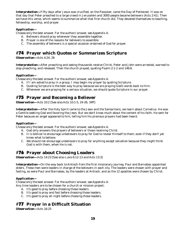*Interpretation—Fifty days after Jesus was crucified, on the Passover, came the Day of Pentecost. It was on* that day that Peter preached to a large crowd in Jerusalem and 3000 people became believers (Acts 2:41). Then we have this verse, which seems to summarize what that first church did. They devoted themselves to teaching, fellowship, worship, and prayer.

### *Application—*

*Choose only the best answer. For the authors' answer, see Appendix A.*

- A. Believers should pray whenever they assemble together.
- B. Prayer is one of the reasons for believers to assemble.
- C. The assembly of believers is a special occasion ordained of God for prayer.

# #74 **Prayer which Quotes or Summarizes Scripture**

*Observation—*Acts 4:24, 26

*Interpretation—*After preaching and seeing thousands receive Christ, Peter and John were arrested, warned to stop preaching, and released. Then the church prayed, quoting Psalm 2:1-2 and 146:6.

### *Application—*

*Choose only the best answer. For the authors' answer, see Appendix A.*

- A. If I am asked to pray in a group, I may begin my prayer by quoting Scripture.
- B. Quoting Scripture is the best way to pray because we are praying God's words back to Him.
- C. Whenever we are praying for a serious situation, we should quote Scripture in our prayer.

# #75 **Prayer and Becoming a Believer**

*Observation—*Acts 10:2 [See also Acts 10:1-5, 24-26, 34ff]

*Interpretation—*After the Holy Spirit came to the Jews and the Samaritans, we learn about Cornelius. He was a Gentile seeking God and favoring the Jews. But we don't know much about the content of his faith. He sent for Peter because an angel appeared to him, telling him his previous prayers had been heard.

### *Application—*

*Choose only the best answer. For the authors' answer, see Appendix A.*

- A. God only answers the prayers of believers or those receiving Christ.
- B. It is biblical to encourage unbelievers to pray for God to reveal Himself to them, even if they don't yet know what to believe.
- C. We should not encourage unbelievers to pray for anything except salvation because they might think God is with them, when He is not.

# #76 **Prayer about Choosing Leaders**

*Observation—*Acts 14:23 [See also Luke 6:12-13 and Acts 13:3]

*Interpretation—*On the way back to Antioch from the first missionary journey, Paul and Barnabas appointed elders. These men were leaders in charge of the believers in each city. The leaders were chosen with prayer and fasting, as were Paul and Barnabas, by the leaders at Antioch, and as the 12 apostles were chosen by Christ.

### *Application—*

*Choose only the best answer. For the authors' answer, see Appendix A.*

Any time leaders are to be chosen for a church or mission project:

- A. It's good to pray before choosing those leaders.
- B. It's good to pray and fast before choosing those leaders.
- C. It's good to pray all night before choosing those leaders.

# #77 **Prayer in a Difficult Situation**

*Observation—*Acts 16:25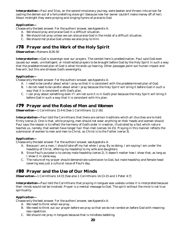*Interpretation—*Paul and Silas, on the second missionary journey, were beaten and thrown into prison for casting the demon out of a fortunetelling slave girl (because now her owner couldn't make money off of her). About midnight they were *praying and singing hymns of praise to God*.

### *Application—*

*Choose only the best answer. For the authors' answer, see Appendix A.*

- A. We should pray and praise God in a difficult situation.
- B. We should not pray unless we can also praise God in the midst of a difficult situation.
- C. We should not praise God unless we also pray to Him.

# #78 **Prayer and the Work of the Holy Spirit**

*Observation—*Romans 8:26-30

*Interpretation—*God is sovereign over our prayers. The context here is predestination. Paul said God even causes our weak, unintelligent, or misdirected prayers to be brought before God by the Holy Spirit in such a way that the predetermined plan of God is what He ends up hearing. Other passages point out human impact and free will, but this one stresses God's sovereignty.

### *Application—*

*Choose only the best answer. For the authors' answer, see Appendix A.*

- A. I need to be careful about what I pray so that it is consistent with the predetermined plan of God.
- B. I do not need to be careful about what I pray because the Holy Spirit will bring it before God in such a way that it is consistent with God's plan.
- C. I can pray about something even if I am not sure it is in God's plan because the Holy Spirit will bring it before God in such a way that it is consistent with His plan.

# #79 **Prayer and the Roles of Men and Women**

*Observation—*1 Corinthians 11:4-6 [See 1 Corinthians 11:2-16]

*Interpretation—*Paul told the Corinthians that there are certain traditions which all churches are to *hold firmly* (verse 2). One is that, while praying, men should not wear anything on their heads and women should. Paul says the reason is to reflect the harmony of God's order in creation, illustrated by a fact which nature teaches us, namely, that women have longer hair than men (verses 14-15). Praying in this manner reflects the submission of women to men and men to Christ, as Christ is to the Father (verse 3).

### *Application—*

*Choose only the best answer. For the authors' answer, see Appendix A.*

- A. Because I am a man, I should take off my hat when I pray. By so doing, I am saying I am under the headship of Christ, offering my headship to my wife and daughters.
- B. Since Paul's purpose is to convey male headship (verse 2), it doesn't matter how I show that, as long as I show it in some way.
- C. The nature of my prayer should demonstrate submission to God, but male headship and female head covering was just a cultural issue of Paul's day.

# #80 **Prayer and the Use of Our Minds**

*Observation—*1 Corinthians 14:15 [See also 1 Corinthians 14:13-15 and 1 Peter 4:7]

*Interpretation—*Paul told the Corinthians that praying in tongues was useless unless it is interpreted because their minds would not be involved. Prayer is a mental message to God. The spirit without the mind is not true spirituality.

### *Application—*

- A. We need to think when we pray.
- B. We need to think out our prayer before we pray so that we do not ramble on before God with meaningless repetition.
- C. We should not pray in tongues because that is mindless babbling.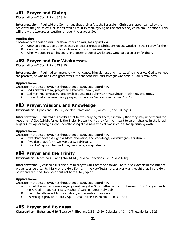# #81 **Prayer and Giving**

*Observation—*2 Corinthians 9:13-14

*Interpretation—*Paul told the Corinthians that their *gift* to the Jerusalem Christians, accompanied by their *prayer* for the Jerusalem Christians, would result in *thanksgiving* on the part of the Jerusalem Christians. This will draw the two groups together through the grace of God.

### *Application—*

*Choose only the best answer. For the authors' answer, see Appendix A.*

- A. We should not support a missionary or poorer group of Christians unless we also intend to pray for them.
- B. We should not support those who are not poor or missionaries.
- C. When we support a missionary or a poorer group of Christians, we should also pray for them.

# #82 **Prayer and Our Weaknesses**

*Observation—*2 Corinthians 12:8-10

*Interpretation—*Paul had some problem which caused him distress and insults. When he asked God to remove the problem, he was told God's grace was sufficient because God's strength was seen in Paul's weakness.

### *Application—*

*Choose only the best answer. For the authors' answer, see Appendix A.*

- A. God's answers to my prayers will keep me socially weak.
- B. God may not remove my problem if He gets more glory by my serving Him with my weakness.
- C. If I don't get an answer to my prayer, it's because God's answer is "wait" or "no."

# #83 **Prayer, Wisdom, and Knowledge**

*Observation—Ephesians 1:15-17 [See also Colossians 1:9; James 1:5; and 1 Kings 3:6-13]* 

*Interpretation—*Paul told his readers that he was praying for them, especially that they may understand the revelation of God (which, for us, is the Bible). He went on to pray for their heart to be enlightened in the knowledge of God. Apparently, a right understanding of the revelation of God is crucial for spiritual growth.

### *Application—*

*Choose only the best answer. For the authors' answer, see Appendix A.*

- A. If we don't have the right wisdom, revelation, and knowledge, we won't grow spiritually.
- B. If we don't have faith, we won't grow spiritually.
- C. If we don't apply what we know, we won't grow spiritually.

# #84 **Prayer and the Trinity**

*Observation—*Matthew 6:9 and John 14:14 [See also Ephesians 3:20-21 and 6:18]

*Interpretation—*Jesus told His disciples to pray to *Our Father* and to *Me*. There is no example in the Bible of prayer to angels, saints, Mary, or the Holy Spirit. In the New Testament, prayer was thought of as in the Holy Spirit and with the Holy Spirit but not to the Holy Spirit.

### *Application—*

*Choose only the best answer. For the authors' answer, see Appendix A.*

- A. I should begin my prayers saying something like, "Our Father who art in heaven …" or "Be gracious to me, O God …" but not "Mary, mother of God" or "Dear Holy Spirit."
- B. The Bible tells us not to pray to Mary or to saints or to angels.
- C. It's wrong to pray to the Holy Spirit because there is no biblical basis for it.

# #85 **Prayer and Boldness**

*Observation—*Ephesians 6:19 [See also Philippians 1:3-5, 19-20; Colossians 4:3-4; 1 Thessalonians 5:25]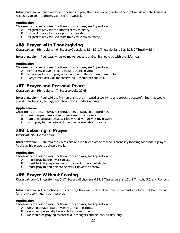*Interpretation—*Paul asked the Ephesians to pray that God would give him the right words and the boldness necessary to declare the mysteries of the Gospel.

### *Application—*

*Choose only the best answer. For the authors' answer, see Appendix A.*

- A. It's good to pray for the success of my ministry.
- B. It's good to pray for courage in my ministry.
- C. It's good to pray for God to be involved in my ministry.

# #86 **Prayer with Thanksgiving**

*Observation—*Philippians 4:6 [See also Colossians 1:3; 4:2; 1 Thessalonians 1:2; 5:18; 2 Timothy 1:3]

**Interpretation—Paul says when we make requests of God, it should be with thankfulness.** 

### *Application—*

*Choose only the best answer. For the authors' answer, see Appendix A.*

- A. Some of my prayers should include thanksgiving.
- B. Sometimes I should pray only mentioning things I am thankful for.
- C. Every time I ask God for something, I should be thankful.

# #87 **Prayer and Personal Peace**

*Observation—*Philippians 4:7 [See also Luke 22:43]

*Interpretation—*Paul told the Philippians to pray instead of worrying and expect a peace of mind that would guard their hearts (feelings) and their minds (understanding).

### *Application—*

*Choose only the best answer. For the authors' answer, see Appendix A.*

- A. I am to expect peace of mind because of my prayers.
- B. I am to have peace because I know God will answer my prayers.
- C. I'm to pray for peace in addition to whatever else I pray for.

# #88 **Laboring in Prayer**

*Observation—*Colossians 4:12

*Interpretation—*Paul told the Colossians about a friend of theirs who is earnestly laboring for them in prayer. Paul saw his prayer as sincere work.

### *Application—*

*Choose only the best answer. For the authors' answer, see Appendix A.*

- A. I must pray before I work today.
- B. I must look at prayer as part of the work I have to do today.
- C. I must pray in addition to the work I have to do today.

# #89 **Prayer Without Ceasing**

*Observation—*1 Thessalonians 5:17 [See also Ephesians 6:18; 2 Thessalonians 1:11; 1 Timothy 5:5; and Romans 12:12]

*Interpretation—*The context of this is things they would do all the time, so we must conclude that Paul meant for them to continually be in prayer.

### *Application—*

- A. We should have regular weekly prayer meetings.
- B. We should personally have a daily prayer time.
- C. We should be praying as part of our thoughts and actions, all day long.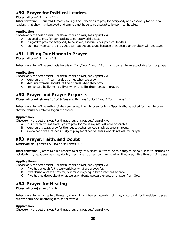# #90 **Prayer for Political Leaders**

### *Observation—*1 Timothy 2:1-4

*Interpretation—*Paul told Timothy to urge the Ephesians to pray for everybody and especially for political leaders, that they may be saved and we may not have to be distracted by political hassles.

### *Application—*

*Choose only the best answer. For the authors' answer, see Appendix A.*

- A. It's good to pray for our leaders to pursue world peace.
- B. It's good to pray for everybody to be saved, especially our political leaders.
- C. It's most important to pray that our leaders get saved because then people under them will get saved.

# #91 **Lifting Our Hands in Prayer**

*Observation—*1 Timothy 2:8

*Interpretation—*The emphasis here is on "holy" not "hands." But this is certainly an acceptable form of prayer.

### *Application—*

*Choose only the best answer. For the authors' answer, see Appendix A.*

- A. We should all lift our hands at times when we pray.
- B. Men, not women, should lift their hands when they pray.
- C. Men should be living holy lives when they lift their hands in prayer.

# #92 **Prayer and Prayer Requests**

*Observation—*Hebrews 13:18-19 [See also Romans 15:30-32 and 2 Corinthians 1:11]

*Interpretation—*The author of Hebrews asked them to pray for him. Specifically, he asked for them to pray that he would be *restored to you the sooner*.

### *Application—*

*Choose only the best answer. For the authors' answer, see Appendix A.*

- A. It is biblical for me to ask you to pray for me, if my requests are honorable.
- B. We should always pray for the request other believers ask us to pray about.
- C. We do not have a responsibility to pray for other believers who do not ask for prayer.

# #93 **Prayer, Faith, and Doubt**

*Observation—*James 1:5-8 [See also James 5:15]

*Interpretation—*James told his readers to pray for wisdom, but then he said they must do it in faith, defined as not doubting, because when they doubt, they have no direction in mind when they pray—like the surf of the sea.

### *Application—*

*Choose only the best answer. For the authors' answer, see Appendix A.*

- A. If we had enough faith, we would get what we prayed for.
- B. If we doubt what we pray for, our mind is going in two directions at once.
- C. If we had no doubt about what we pray about, we could expect an answer from God.

# #94 **Prayer for Healing**

*Observation—*James 5:14-16

*Interpretation—*James told the early church that when someone is sick, they should call for the elders to pray over the sick one, anointing him or her with oil.

### *Application—*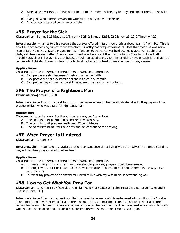- A. When a believer is sick, it is biblical to call for the elders of the city to pray and anoint the sick one with oil.
- B. Everyone whom the elders anoint with oil and pray for will be healed.
- C. All sickness is caused by some sort of sin.

# #95 **Prayer for the Sick**

*Observation—*James 5:15 [See also 1 Timothy 5:23; 2 Samuel 12:16, 22-23; Job 1:5, 19; 2 Timothy 4:20]

*Interpretation—*James told his readers that prayer offered in faith would bring about healing from God. This is a fact but not something true without exception. Timothy had *frequent ailments*. Does that mean he was not a man of faith? Unlikely! David prayed for his infant son to be healed, yet he died. Job prayed for his children daily, yet they were all killed. Are we to assume it was because of their lack of faith? Clearly not! Paul left Trophimus sick at Miletus. Was that because Paul neglected to pray for him or didn't have enough faith that he'd be healed? Unlikely! Prayer for healing is biblical, but a lack of healing may be due to many causes.

### *Application—*

*Choose only the best answer. For the authors' answer, see Appendix A.*

- A. Sick people are sick because of their sin or lack of faith.
- B. Sick people are not sick because of their sin or lack of faith.
- C. Sick people may or may not be sick because of their sin or lack of faith.

# #96 **The Prayer of a Righteous Man**

*Observation—*James 5:16-18

*Interpretation—*This is the most basic principle James offered. Then he illustrated it with the prayers of the prophet Elijah, who was a faithful, righteous man.

### *Application—*

*Choose only the best answer. For the authors' answer, see Appendix A.*

- A. The point is to #1 be righteous and #2 pray earnestly.
- B. The point is to #1 pray earnestly and #2 be righteous.
- C. The point is to #1 call for the elders and #2 let them do the praying.

# #97 **When Prayer Is Hindered**

*Observation—*1 Peter 3:7

*Interpretation—*Peter told his readers that one consequence of not living with their wives in an understanding way is that their prayers would be hindered.

### *Application—*

*Choose only the best answer. For the authors' answer, see Appendix A.*

- A. If I were living with my wife in an understanding way, my prayers would be answered.
- B. If I am praying, but I feel like I do not have God's attention, one thing I should check is the way I live with my wife.
- C. If I want my prayers to be answered, I need to live with my wife in an understanding way.

# #98 **How to Get What You Pray For**

*Observation—*1 John 5:14-17 [See also Jeremiah 7:16; Mark 11:23-24; John 14:13-16; 15:7; 16:26; 17:9; and 2 Thessalonians 1:11]

*Interpretation—*After stating, *we know that we have the requests which we have asked from Him,* the Apostle John illustrated it with praying for a brother committing a sin. But then John said not to pray for a brother committing a sin unto death. So we are to pray for one brother and not the other because it is according to God's will that one be restored and not the other. Here God's will is best understood as God's plan.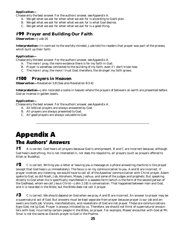*Choose only the best answer. For the authors' answer, see Appendix A.*

- A. We get what we ask for when what we ask for is according to God's plan.
- B. We get what we ask for when what we ask for is what God desires.
- C. We get what we ask for when what we ask for is a good thing.

# #99 **Prayer and Building Our Faith**

*Observation—*Jude 20

*Interpretation—*In contrast to the worldly-minded, Jude told his readers that prayer was part of the process which built up their faith.

### *Application—*

*Choose only the best answer. For the authors' answer, see Appendix A.*

- A. The more I pray, the more evidence there is for my faith in God.
- B. Prayer is somehow connected to the building of my faith, even if I don't know how.
- C. The more I pray, the more I trust God, therefore, the stronger my faith grows.

# #100 **Prayers in Heaven**

*Observation—*Revelation 5:8 [See also Revelation 8:3-4]

*Interpretation—*John recorded a scene in heaven where the prayers of believers on earth are presented before God as incense in golden bowls.

\_\_\_\_\_\_\_\_\_\_\_\_\_\_\_\_\_\_\_\_\_\_\_\_\_\_\_\_\_\_\_\_\_\_\_\_\_\_\_\_\_\_\_\_\_\_\_\_\_\_\_\_\_\_\_\_\_\_\_\_\_\_\_\_\_\_\_\_\_\_\_\_\_\_\_\_\_

### *Application—*

*Choose only the best answer. For the authors' answer, see Appendix A.*

- A. All biblical prayers are always answered by God.
- B. All prayers are always presented to God.
- C. All good prayers are always valuable to God.

# Appendix A The Authors' Answers

 $\#$ 1 A is correct. God hears all prayers because God is omnipresent. B and C are incorrect because, although God hears everything, He is not interested in, nor does He respond to, all prayers (such as prayers offered to Allah or Buddha).

 $#2 \;$  C is correct. Writing you a letter or leaving you a message on a phone answering machine is like prayer (except that God hears us immediately). The focus is on my communication to you. A and B are incorrect. If prayer involves any listening, we would have to call all of the Apostles' communication with Christ prayer. Adam spoke to God, as did Noah, Job, Abraham, Moses, Joshua, and some of the judges and prophets. But speaking directly to God when He is specifically manifested in a seeable form (which is the form of the second person of the Godhead, whom we call Jesus Christ—John 1:18) is conversation. That happened between man and God, and it is recorded in the Bible, but the Bible does not call it prayer.

 $\#3$   $\hbox{C}$  is correct. We should depend on God when we pray. A and B are incorrect. An answer to prayer may be a supernatural act of God. But answers must be kept separate from prayer because prayer is our job and answers are God's job. Visions, manifestations, and revelations of God are not prayer. These are communications from God, not to God. Prayer is always initiated by us. Therefore, we should not think of supernatural encounters with God, incurred by certain people in the Bible, as prayer. For example, Moses' encounter with God at Mt. Sinai is not the same as David's prayer to God in the Psalms.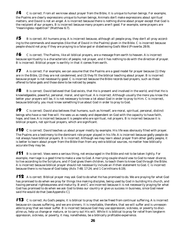$\sharp 4$  C is correct. From all we know about prayer from the Bible, it is unique to human beings. For example, the Psalms are clearly expressions unique to human beings. Animals don't make expressions about spiritual matters, and David is not an angel. A is incorrect because there is nothing divine about prayer except that God is the recipient of our prayers. B is incorrect because many prayers aren't good. For example, some prayers are "meaningless repetition" (Matthew 6:7).

 $\#5$  B is correct. All humans pray. A is incorrect because, although all people pray, they don't all pray according to the commands and examples (like that of David in the Psalms) given in the Bible. C is incorrect because people should not pray if they are praying to a false god or disbelieving God's Word (Proverbs 28:9).

 $#6$  C is correct. The Psalms, like all biblical prayers, are a message from earth to heaven. A is incorrect because spirituality is a characteristic of people, not prayer, and it has nothing to do with the direction of prayer. B is incorrect. Biblical prayer is earthly in that it comes from earth.

 $\sharp$  7 A is correct. For example, we can assume that the Psalms are a good model for prayer because (1) they are in the Bible, (2) they are not condemned, and (3) they fit the biblical teaching about prayer. B is incorrect because prayer is not necessarily good. C is incorrect because the Bible records bad prayers, such as those offered to false gods and those done to be noticed by people.

 $#8$  B is correct. David believed that God exists, that He is present and involved in the world, and that He is knowledgeable, powerful, personal, moral, and spiritual. A is incorrect. Although usually the more you know the better your prayers will be, it is not necessary to know a lot about God in order to pray to Him. C is incorrect, because biblically, you must know something true about God in order to pray to God.

 $#9$  C is correct. David also believes that humans, such as himself, are moral, spiritual, personal, distinct beings who have a real free will. He sees us as needy and dependent on God with the capacity to have faith, hope, and love. A is incorrect because it is people who are spiritual, not prayers. B is incorrect because it is biblical prayers, not spiritual prayers, which are significant.

 $#10$  C is correct. David teaches us about prayer mostly by example. His life was obviously filled with prayer. The Psalms are a testimony to the dominant role prayer played in his life. A is incorrect because godly people do not always have biblical prayers. B is incorrect. Although we may learn about prayer from other godly people, it is better to learn about prayer from the Bible than from any extra-biblical sources, no matter how biblically accurate they may be.

 $#11$  B is correct. Vows were a serious thing, not encouraged in the Bible and not to be taken lightly. For example, marriage is a good time to make a vow to God. A marrying couple should vow to God to never divorce, to live according to the Scripture, and if God gives them children, to teach them to know God through the Bible. A is incorrect because biblical prayer should not necessarily include an if-then statement to God. C is incorrect because there is no house of God today (Acts 7:48; 17:24; and 1 Corinthians 6:19).

 $\#12$  A is correct. Biblical prayer may ask God to do what He has promised to do. We are praying for what God has promised to do when we pray for things like making disciples, being used by God in building His church, and having personal righteousness and maturity. B and C are incorrect because it is not necessarily praying for what God has promised to do when we ask God to bless our country or give us success in business, since God never said He would do that [see Appendix C].

 $#13$  C is correct. As God's people, it is biblical to pray that we be freed from continual suffering. A is incorrect because sin causes suffering, and we are sinners. It is inevitable, therefore, that we will suffer and is unreasonable to pray that we never suffer. B is incorrect because God may use oppression, sickness, or poverty to discipline us, help us change or mature, or to carry out His will. While it is biblical to pray for relief from longterm oppression, sickness, or poverty, it may, nonetheless, be a biblically profitable experience.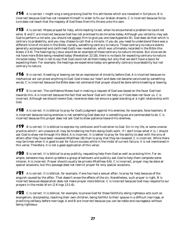$#14$  A is correct. I might sing a song praising God for His attributes which are revealed in Scripture. B is incorrect because God has not revealed Himself in order to fix our broken dreams. C is incorrect because Scripture does not teach that the majesty of God flows from His throne unto His own.

 $#15$  A is correct. Moses prayed for help, while leading Israel, when he encountered a problem he could not solve. B and C are incorrect because God has not promised to do miracles today. Although you certainly may ask God to perform a miracle, you should not expect Him to give you one (see Appendix B). God does do that which is contrary to probability, and you may choose to call that a miracle. If you do, you need to understand there was a different kind of miracle in the Bible, namely, something contrary to nature. Those contrary-to-nature events generally accompanied and confirmed God's new revelation, which was ultimately recorded in the Bible (Hebrews 2:3-4). The healings by Jesus would be an example of these contrary-to-nature miracles. But since we do not have more Bible being revealed today (Revelation 22:18), there is no basis for expecting contrary-to-nature miracles today. That is not to say that God could not do them today but only that we don't have a basis for expecting them. For example, the healings we experience today are generally contrary-to-probability but not contrary to nature.

 $#16$  B is correct. Kneeling or bowing can be an expression of sincerity before God. A is incorrect because no mechanical act can prove anything to God. God knows our heart and does not become convinced by something we do. C is incorrect because the Bible does not command that prayer should be done while kneeling or bowing.

 $\#17$  B is correct. The confidence Moses had in making a request of God was based on the favor God had towards him. A is incorrect because the fact that we favor God will not help us if God does not favor us. C is incorrect. Although we should revere God, reverence does not ensure a good standing or a right relationship with God.

 $#18$  A is correct. It is biblical to pray for God's judgment against His enemies, for example, false teachers. B is incorrect because loving enemies is not something God does but is something we are commanded to do. C is incorrect because this prayer does not ask God to show patience toward His enemies.

 $#19$  B is correct. It is biblical to express my confusion and frustration to God. Sin in my life, or some unwise practice which I am unaware of, may be hindering me from doing God's work. If I don't know what it is, I should ask God to show me through His Word. A is incorrect. It is better to pray for the ability to deal with the sins of others after they have been revealed (Matthew 18) than to pray that they be revealed. C is incorrect. While there may be times when it is good to ask for future success while in the midst of current failure, it is not mentioned in this verse. Therefore, it is not a good application of this verse.

 $#20$  B is correct. It is biblical to pray publicly, requesting help from God as well as praising Him. For example, someone may stand up before a group of believers and publicly ask God to help them complete some mission. A is incorrect. Prayer should usually be private (Matthew 6:6). C is incorrect, prayer may be done at special occasions, but this passage does not restrict prayer for only special occasions.

 $#21$  A is correct. It is biblical, for example, if one has had a sexual affair, to pray for help because of the anguish caused by the affair. That doesn't erase the effects of the sin. Nonetheless, such prayer is right. B is incorrect because desperation does not make prayer more biblical. C is incorrect because God may respond to our prayers in the midst of sin (2 Kings 13:1-6).

 $\#22$  C is correct. It is biblical, for example, to praise God for those faithfully doing righteous acts such as evangelism, discipleship, teaching their own children, being faithful to their spouse in a difficult marriage, or practicing celibacy before marriage. A and B are incorrect because you can be noble and courageous without being righteous.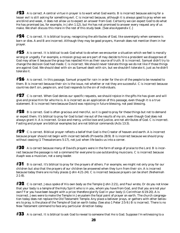$\# {\bf 23}$  A is correct. A central virtue in prayer is to want what God wants. B is incorrect because asking for a lesser evil is still asking for something evil. C is incorrect because, although it is always good to pray when we are blind and weak, it does not allow us to expect an answer from God. Certainly we can expect God to do what He has promised (as, for example, in John 1:12), but He has not promised to answer every request any of us make. We shall discuss this more in the rest of this study book. [See also Appendix C.]

 $\#24$  C is correct. It is biblical to pray, recognizing the attributes of God, like sovereignty when someone is born or dies. A and B are incorrect. Although they may be good prayers, Hannah does not mention them in her prayer.

 $\#25$  A is correct. It is biblical to ask God what to do when we encounter a situation which we feel is morally wrong or ungodly. For example, a mission group we are part of may decide to hire a president we disapprove of. God may allow it because the group has rejected Him as their source of truth. B is incorrect. Samuel didn't try to change the decision God had made. C is incorrect. We should never tolerate things we do not like if those things are against God. We should deal with sin as Samuel dealt with sin, but we shouldn't tolerate it, just as he didn't tolerate it.

 $\#26$  A is correct. In this passage, Samuel prayed for rain in order for the sin of the people to be revealed to them. B is incorrect because their sin is the issue, not whether or not they are successful. C is incorrect because countries don't sin, people sin, and God responds to the sin of individuals.

 $\# \bm{27}$  C is correct. When God denies our specific requests, we should rejoice in the gifts He has given and will give and praise Him for who He is. A is incorrect as an application of this passage, even though it is a true statement. B is incorrect here because David was rejoicing in future blessing, not past blessing.

 $\#28$  B is correct. God is often gracious and merciful, so it is good to pray for these things but not to demand or expect them. It's biblical to pray for God to bail me out of the results of my sin, even though God does not always grant it. A is incorrect. Grace and mercy, unlike love and justice, are not attributes of God. C is incorrect. Fasting and prayer are biblical examples but are not biblical commands (Acts 13:3).

 $\#29$  C is correct. Biblical prayer reflects a belief that God is the Creator of heaven and earth. A is incorrect because prayer should not begin with incorrect beliefs (Proverbs 28:9). B is incorrect because we should pray without ceasing (1 Thessalonians 5:17), not just when life backs us into a corner.

 $\#30$  A is correct because many of David's prayers were in the form of songs of praise to the Lord. B is incorrect because the passage is not a command for everyone to use outstanding musicians. C is incorrect because Asaph was a musician, not a song leader.

 $\#31$  B is correct. It's biblical to pray for the prayers of others. For example, we might not only pray for our children but also that the prayers of our children be answered when they turn from their sin. A is incorrect because today there are no holy places (John 4:21-24). C is incorrect because prayers can be short (Nehemiah  $2:1-8$ ).

#32 C is correct. Jesus spoke of His own body as the Temple (John 2:21), and Paul wrote, *Or do you not know that your body is a temple of the Holy Spirit who is in you, whom you have from God, and that you are not your own? For you have been bought with a price: therefore glorify God in your body* (1 Corinthian 6:19-20). A is incorrect. Jews were to make the Temple in Jerusalem the focal point of prayer on earth. The church congregation today does not replace the Old Testament Temple. Any place a believer prays, or gathers with other believers to pray, is the place of the Temple of God on earth today. (See also 1 Peter 2:5-9.) B is incorrect. There is no New Testament command to face any particular direction today.

 $\#33$  A is correct. It is biblical to ask God to reveal to someone that He is God. Suppose I'm witnessing to a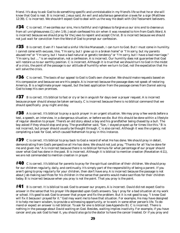friend. It's okay to ask God to do something specific and unmistakable in my friend's life so that he or she will know that God is real. B is incorrect. Jesus said, *An evil and adulterous generation craves for a sign* (Matthew 12:39). C is incorrect. We shouldn't expect God to deal with us the way He dealt with Old Testament believers.

#34 C is correct. *If we confess our sins, He is faithful and righteous to forgive us our sins and to cleanse us from all unrighteousness* (1 John 1:9). Josiah confessed his sin when it was revealed to him from God's Word. A is incorrect because we should pray for the Jews to repent and accept Christ. B is incorrect because we should not just wait for conviction from the Word of God to prompt our confession.

 $#35$  B is correct. Even if I have led a sinful life like Manasseh, I can turn to God. But I must come in humility. I cannot come with excuses, like, "I'm sorry, but I grew up in a broken home" or "I'm sorry, but my parents abused me" or "I'm sorry, but I have a bad natural or genetic tendency" or "I'm sorry, but I have a bad marriage." "I'm sorry, but …" is an explanation, not a confession. A is incorrect. Our humility does not guarantee that God will restore us to our earthly position. C is incorrect. Although it is true that we should turn to God in the midst of a crisis, the point of the passage is our attitude of humility when we turn to God, not the expectation that He will solve the crisis.

 $\#36$  C is correct. The basis of our appeal to God is God's own character. We should make requests based on His compassion and because we are His people. A is incorrect because the passage does not speak of restoring America. B is a legitimate prayer request, but the best application from the passage comes from Daniel asking God to keep His own promises.

 $\#37$  B is correct. It's biblical to fast or cry or be in anguish for days over a prayer request. A is incorrect because prayer should always be taken seriously. C is incorrect because there is no biblical command that we should specifically pray night and day.

 $\#38$  A is correct. It's biblical to pray a quick prayer in an urgent situation. We may pray a few words before a test, a speech, an interview, in a dangerous situation, or before we die. But this should be done within a lifestyle of regular devotion to prayer. There's an old story about a boy and his grandfather being chased by a bull. The boy asked if they should stop and pray. The grandfather said, "Son, I stayed prayed up for times like this." B is not incorrect, but prayer should usually be thought through. C is also correct. Although it was the urgency, not completing a task for God, which caused Nehemiah to pray in this instance.

 $#39$  C is correct. It's biblical to pray back to God a record of what He has done. We should pray in detail, demonstrating from God's perspective all He has done. We should not just pray, "Thanks for all You've done for me and given me." A is incorrect because there is no biblical formula for what percentage of our prayer should cover what God has done in the past. B is incorrect. Although it is biblical to mention creation (Revelation 4:11), we are not commanded to mention creation in prayer.

 $\#40\;$  C is correct. It's biblical for parents to pray for the spiritual condition of their children. We should pray for our children regularly, daily, and continually. It's simply part of the responsibility of being a parent. If you aren't going to pray regularly for your children, then don't have any. A is incorrect because the passage is not about Job making sacrifices for his children in the sense that parents would make sacrifices for their children today. B is incorrect because *when* you pray is not the point. *That* you pray is the point.

#41 B is correct. It is biblical to ask God to answer our prayers. A is incorrect. David did not expect God to answer in the sense that his prayer life depended upon God's answers. Say I pray for a bad situation at my work or school. It's good to ask God to answer that prayer and fix the problem. But it is not good to say, "I know God will fix it because I prayed for it." God may want me to have that situation. For example, He may have designed it to help me learn wisdom, to provide a witnessing opportunity, or to work in some other person's life. To demand or expect an answer is not biblical. To ask for one is biblical (see Appendix B). C is incorrect. There is nothing in the passage about David waiting on God. Besides, waiting implies inactivity. For example, if you have cancer and you ask God to heal it, you should also go to the doctor to have the cancer treated. Or if you pray and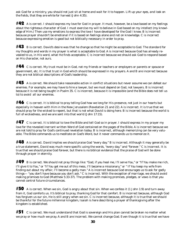ask God for a ministry, you should not just sit at home and wait for it to happen. *Lift up your eyes, and look on the fields, that they are white for harvest* (John 4:35).

 $\#42$  A is correct. I should express my love for God in prayer. It must, however, be a love based on my feelings about the righteous character of God. I must exercise my will to believe in God based on my intellect (my knowledge of Him.) Then use my emotions to express the love I have developed for the God I know. B is incorrect because prayer shouldn't be emotional if it is based on feelings alone and not on knowledge. C is incorrect because expressing emotion is good but not biblically necessary in order to pray.

 $\#43$  B is correct. David's desire was that he change so that he might be acceptable to God. The standard for my thoughts and words in my prayer is what is acceptable to God. A is incorrect because God has already revealed to us, in His word, what He finds acceptable. C is incorrect because we should ask God to respond based on His character, not ours.

 $\#44$  C is correct. My trust must be in God, not my friends or teachers or employers or parents or spouse or government, etc. It is that trust in God which should be expressed in my prayers. A and B are incorrect because they are not biblical descriptions of God's leadership.

 $\#45$  A is correct. We should take reasonable action in conflict situations but never assume we can defeat our enemies. For example, we may have to hire a lawyer, but we must depend on God, not lawyers. B is incorrect because it is not being taught in Psalm 35. C is incorrect, because it is impossible (and the Bible does not tell us to) to avoid all our enemies.

 $#46$  C is correct. It is biblical to pray telling God how we long for His presence, not just in our hearts but especially in heaven with Him in the New Jerusalem (Revelation 21 and 22). A is incorrect. It is true that we should pray for the wicked to repent, but that is not what David is doing here. B is incorrect because the world is full of wickedness, and we are sent into that world (John 17:15).

 $\#47$  C is correct. It is biblical to love the Bible and tell God so in prayer. I should express in my prayer my love for the revealed inerrant written Word of God contained on the pages of the Bible. A is incorrect because we are not told to pray for God's continued revelation today. B is incorrect, although memorizing can be very valuable. The Bible commands us to meditate on God's Word, but it never commands us to memorize it.

 $\#48$  A is correct. David implies we should praise God "every day." B is incorrect. Although it may generally be a true statement, David was much more specific using the words, "every day," and "forever." C is incorrect. It is true that we should praise God forever, but there is no biblical evidence that the praise of God will be done through prayer in eternity.

 $#49$  B is correct. We should not pray things like: "God, if you heal me, I'll serve You," or "If You make me rich, I'll give it to You," or "If You get me out of this mess, I'll become a missionary," or " If You keep my wife from finding out about my affair, I'll become a godly man." A is incorrect because God encourages us to ask for godly things— "you don't have because you don't ask." C is incorrect. With the exception of marriage, we should avoid making promises to God (Matthew 5:33-37). The problem with making promises, pledges, or vows is that you cannot control future circumstances.

 $#50$  A is correct. When we sin, God is angry about that sin. When we confess it (1 John 1:9) and turn away from it, God comforts us. It's biblical to pray, thanking God for that comfort. B is incorrect because, although God has forgiven us our sin, He is still angry when we sin. C is incorrect because, although it is true that we should be thankful for the future millennial kingdom, Isaiah is here describing a prayer of thanksgiving after the kingdom is established.

 $\#51$  C is correct. We must understand that God is sovereign and His plan cannot be broken no matter what we pray or how much we pray. A and B are incorrect. We cannot change God. Even though it is true that we have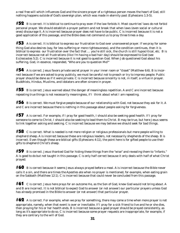a real free will which influences God and the sincere prayer of a righteous person moves the heart of God, still nothing happens outside of God's sovereign plan, which was made in eternity past (Ephesians 1:3-5).

 $#52$  B is correct. It is biblical to continue to pray even if the law forbids it. Most countries' laws do not forbid personal prayer. We should establish a prayer pattern and not break that when laws (even social or cultural ones) discourage it. A is incorrect because prayer does not have to be public. C is incorrect because it is not a good application of this passage, and the Bible does not command us to pray three times a day.

 $#53$  A is correct. It is biblical to express our frustration to God over unanswered prayer. If we pray for something God also desires (say, for less suffering or more righteousness), and the condition continues, then it is biblical to express our frustration over the fact that ... you're still sick, the church is still hypocritical, etc. B is incorrect because not all frustrations (like I'm having a bad hair day) should be expressed to God (see Ecclesiastes 5:2). C is incorrect because it is not good to question God. When Job questioned God about his suffering, God, in essence, responded, "Who are you to question Me?"

 $#54$  A is correct. Jesus favors private secret prayer in your inner room or "closet" (Matthew 6:6). B is incorrect because if we are asked to pray publicly, we must be careful not to preach or try to impress people. Public prayer should be done as if it were private. C is incorrect because sincerity is not, in itself, a virtue in prayer. Buddhists, Hindus, Muslims, and idolators are often sincere in prayer.

 $#55$  B is correct. Jesus warned about the danger of meaningless repetition. A and C are incorrect because repeating true things is not necessarily meaningless, if I think about what I am repeating.

 $#56$  B is correct. We must forgive people because of our relationship with God, not because they ask for it. A and C are incorrect because there is nothing in this passage about people asking for forgiveness.

 $#57$  A is correct. For example, if I pray for good health, I should also be seeking good health. If I pray for someone to come to Christ, I should also be seeking to lead them to Christ. B may be true, but here Jesus seems to link together asking and seeking. C is incorrect because we may believe we should seek for bad things.

 $#58$  C is correct. What is needed is not more religion or religious professionals but more people willing to shepherd sheep. A is incorrect because these are religious leaders, not necessarily shepherds of the sheep. B is incorrect. Even though these are biblical gifts (Ephesians 4:11), the point here is for gifted people to use their gifts to shepherd Christ's sheep.

 $#59$  B is correct. Jesus thanked God for hiding these things from the "wise" and revealing them to "infants." A is good to do but not taught in this passage. C is only half correct because it only deals with half of what Christ prayed.

 $#60$  B is correct because it seems Jesus always prayed before a meal. A is incorrect because the Bible never calls it a sin, and there are times the Apostles ate when no prayer is mentioned, for example, when eating grain on the Sabbath (Matthew 12:1). C is incorrect because that could never be concluded from this passage.

 $\#61\;$  C is correct. Jesus here prays for an outcome He, as the Son of God, knew God would not bring about. A and B are incorrect. It is not biblical to expect God to answer (or not answer) our particular prayers unless God has already promised in the Bible to answer (or not answer) that particular prayer.

 $\#62$  A is correct. For example, when we pray for something, there may come a time when more prayer is not appropriate, namely, when that event is over or inevitable. If I pray for a sick friend to live and he or she dies, then praying for his or her health ends. B is incorrect because a good prayer should be prayed consistently, as long as it's appropriate to do so. C is incorrect because some prayer requests are inappropriate, for example, if they are contrary to the will of God.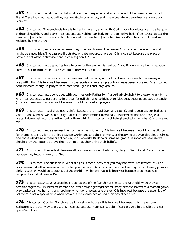#63 A is correct. Isaiah told us that God does the unexpected and *acts in behalf of the one who waits for Him*. B and C are incorrect because they assume God works for us, and, therefore, always eventually answers our requests.

#64 C is correct. The emphasis here is to *flee immorality* and *glorify God in your body* because it is *a temple of the Holy Spirit*. A and B are incorrect because neither our body nor the collective body of believers replace the Temple in Jerusalem. The early church honored the Temple in Jerusalem (Acts 2:46). They did not see it as replaced by the church.

 $\#$ 65 B is correct. Jesus prayed alone all night before choosing the twelve. A is incorrect here, although it might be a good idea. The passage illustrates private, not group, prayer. C is incorrect because the place of prayer is not what is stressed here. [See also John 4:21-24.]

 $\#$ 66 C is correct. Jesus specifies here to pray for those who mistreat us. A and B are incorrect only because they are not mentioned in Luke 6:28. Both, however, are true in general.

 $#67$  C is correct. On a few occasions Jesus invited a small group of His closest disciples to come away and pray with Him. A is incorrect because this passage is not an example of how Jesus usually prayed. B is incorrect because occasionally He prayed with both small groups and large groups.

#68 C is correct. Jesus concludes with *your heavenly Father* [will] *give the Holy Spirit to those who ask Him*. A is incorrect because persistence in prayer for evil things or to idols or to false gods does not get God's attention (in a positive way). B is incorrect because it could include bad prayers.

 $#69$  C is correct. Illegal drug use is sinful because it is illegal (Romans 13:1-3), and it destroys our bodies (1 Corinthians 6:19), so we should pray that our children be kept from that. A is incorrect because here Jesus prays, *I do not ask You to take them out of the world*. B is incorrect. Not being tempted is not what Christ prayed for.

 $#70$  B is correct. Jesus assumes the truth as a basis for unity. A is incorrect because it would not be biblical, for example, to pray for the unity between Christians and the Mormons, or those who are true disciples of Christ and those who believe there are other ways to God—like Buddha or some religion. C is incorrect because we should pray that people believe the truth, not that they unite their beliefs.

 $\#71$  A is correct. The central theme in all our prayers should be to bring glory to God. B and C are incorrect because they focus on man, not God.

#72 C is correct. The question is, What did Jesus mean, *pray that you may not enter into temptation*? The point seems to be that we overcome the temptation to sin. A is incorrect because keeping us out of every possible sinful situation would be to stay out of the world in which we live. B is incorrect because even Jesus was tempted to sin (Hebrews 4:15).

 $#73$  B is correct. Acts 2:42 specifies prayer as one of the four things the early church did when they assembled together. A is incorrect because believers might get together for many reasons (to watch a football game, play basketball, go hunting or shopping) which don't necessitate prayer. C is incorrect because the assembly of believers is not a special time when prayer is more ordained of God than any other time.

 $\#74$  A is correct. Quoting Scripture is a biblical way to pray. B is incorrect because nothing says quoting Scripture is the best way to pray. C is incorrect because many serious significant prayers in the Bible did not quote Scripture.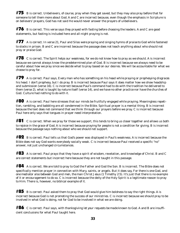$#75$  B is correct. Unbelievers, of course, pray when they get saved, but they may also pray before that for someone to tell them more about God. A and C are incorrect because, even though the emphasis in Scripture is on believers' prayers, God has not said He would never answer the prayers of unbelievers.

#76 B is correct. This verse says *they prayed with fasting* before choosing the leaders. A and C are good statements, but fasting is included here and all-night praying is not.

#77 A is correct. In verse 21, Paul and Silas *were praying and singing hymns of praise to God* while fastened to stocks in prison. B and C are incorrect because the passage does not teach anything about who should not pray or praise God.

#78 C is correct. The Spirit *helps our weakness, for we do not know how to pray as we should.* A is incorrect because we cannot always know the predetermined plan of God. B is incorrect because we always need to be careful about how we pray since we decide what to pray based on our desires. We will be accountable for what we choose to pray for.

#79 A is correct. Paul says, *Every man who has something on his head while praying or prophesying disgraces his head*. I don't prophesy, but I do pray. B is incorrect because Paul says it does matter how we show headship and submission (verse 16). C is incorrect because Paul's command had to do with the tradition he delivered to them (verse 2), what is taught *by nature itself* (verse 14), and *we have no other practice nor have the churches of God*. Culture had nothing to do with it.

 $\#{\bf 80}\;$  A is correct. Paul here stresses that our minds be fruitfully engaged while praying. Meaningless repetition, rambling, and babbling are all condemned in the Bible. Spiritual prayer is a mental thing. B is incorrect because the text does not command that we think through our prayers before we pray. C is incorrect because Paul here only says that tongues in prayer need interpretation.

 $#81$  C is correct. When we pray for those we support, this tends to bring us closer together and allows us both to rejoice in the grace of God. A is incorrect because praying for people is not a condition for giving. B is incorrect because the passage says nothing about who we should not support.

 $#82$  B is correct. Paul tells us that God's power was displayed in Paul's weakness. A is incorrect because the Bible does not say God wants everybody socially weak. C is incorrect because Paul received a specific "no" answer, not just unchanged circumstances.

 $\#$ 83 A is correct. Paul prays that they have a spirit of wisdom, revelation, and knowledge of Christ. B and C are correct statements but incorrect here because they are not taught in this passage.

 $#84$  A is correct. We are told to pray to God the Father and God the Son. B is incorrect. The Bible does not specifically mention prayer in connection with Mary, saints, or angels. But it does say, *For there is one God, and one mediator also between God and men, the man Christ Jesus* (1 Timothy 2:5). It's just that there is no example of it or encouragement to do so. C is incorrect because the deity of the Holy Spirit is a legitimate reason to pray to Him. There is, however, no biblical example of it.

 $\#85$  B is correct. Paul asked them to pray that God would give him boldness to say the right things. A is incorrect because God is not promoting the success of our ministries. C is incorrect because we should pray to be involved in what God is doing, not for God to be involved in what we are doing.

#86 C is correct. Paul says, *with thanksgiving let your requests be made known to God*. A and B are insufficient conclusions for what Paul taught here.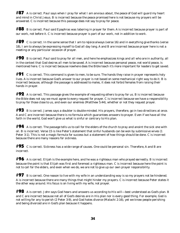$#87$  A is correct. Paul says when I pray for what I am anxious about, the peace of God will guard my heart and mind in Christ Jesus. B is incorrect because the peace promised here is not because my prayers will be answered. C is incorrect because this passage does not say to pray for peace.

 $\#$ 88 B is correct. Paul said Epaphras was laboring in prayer for them. A is incorrect because prayer is part of our work, not before it. C is incorrect because prayer is part of our work, not in addition to work.

#89 C is correct. In the same sense that I am to *rejoice always* (verse 16) and *in everything give thanks* (verse 18), I am to always be expressing myself to God all day long. A and B are incorrect because prayer here is not a meeting or any particular occasion of prayer.

#90 B is correct. Paul said to pray for *all men*, and here he emphasizes *kings and all who are in authority*, all in the context that God *desires all men to be saved*. A is incorrect because personal peace, not world peace, is mentioned here. C is incorrect because nowhere does the Bible teach it's more important for leaders to get saved.

 $#91$  C is correct. This command is given to men, to be sure. The hands they raise in prayer represents holy lives. A is incorrect because God's answer to our prayer is not based on some mechanical right way to do it. B is incorrect because, although the passage is addressed to males, it does not forbid females from raising their hands in prayer.

 $#92$  A is correct. This passage gives the example of requesting others to pray for us. B is incorrect because the Bible does not say we must agree to every request for prayer. C is incorrect because we have a responsibility to pray for those close to us, and even our enemies (Matthew 5:44), whether or not they request prayer.

 $#93$  B is correct. James says a doubter is double-minded. His prayers, therefore, go in two directions at once. A and C are incorrect because there is no formula which guarantees answers to prayer. Even if we have all the faith in the world, God won't give us what is sinful or contrary to His plan.

 $#94$  A is correct. The passage tells us to call for the elders of the church to pray and anoint the sick one with oil. B is incorrect. Verse 15 is like Peter's statement that sinful husbands can be won by submissive wives (1 Peter 3:1). This is not a magic formula for success but a statement of how things should be done. C is incorrect because there are many reasons for sickness.

 $#95$  C is correct. Sickness has a wide range of causes. One could be personal sin. Therefore, A and B are incorrect.

#96 A is correct. Elijah is the example here, and he was a *righteous man* who prayed *earnestly*. B is incorrect because the point is that Elijah was first and foremost a righteous man. C is incorrect because here the point is not to call for the elders, and even when we do, we are not to give up our own prayer responsibility.

 $#97$  B is correct. One reason to live with my wife in an understanding way is so my prayers not be hindered. A is incorrect because there are many things that might hinder my prayers. C is incorrect because Peter states it the other way around. His focus is on living with my wife, not prayer.

#98 A is correct. John says God hears and answers us according to *His will*—best understood as God's plan. B and C are incorrect because not all of God's desires are in His plan nor is every good thing. For example, God is not willing for any to perish (2 Peter 3:9), and God hates divorce (Malachi 2:16), yet we know people perishing and being divorced are in God's plan because it happens.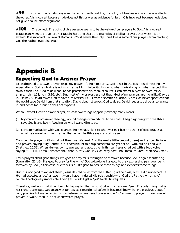$#99$  B is correct. Jude lists prayer in the context with building my faith, but he does not say how one affects the other. A is incorrect because Jude does not list prayer as evidence for faith. C is incorrect because Jude does not give a cause-effect argument.

 $#100$  C is correct. The point of this passage seems to be the value of our prayers to God. A is incorrect because answers to prayer are not taught here and there are examples of biblical prayers that were not answered. B is incorrect. In view of Romans 8:26, it seems the Holy Spirit keeps some of our prayers from reaching God the Father. (See also #78.)

# Appendix B Expecting God to Answer Prayer

\_\_\_\_\_\_\_\_\_\_\_\_\_\_\_\_\_\_\_\_\_\_\_\_\_\_\_\_\_\_\_\_\_\_\_\_\_\_\_\_\_\_\_\_\_\_\_\_\_\_\_\_\_\_\_

Expecting God to answer prayer keeps my prayer life from maturity. God is not in the business of meeting my expectations. God is who He is not who I expect Him to be. God is doing what He is doing not what I expect Him to do. When I ask God to do what He has promised to do, then, of course, I can expect a "yes" answer (for example, John 1:12; John 3:16, etc.). But most of my prayers are not that. Most of my prayers are more like David's in Psalm 22. David asked God to save him (verses 19-21) from a specific situation. Since God never specified that He would save David from that situation, David does not expect God to do so. David requests deliverance, wants it, and hopes for it, but he does not expect it.

When I expect God to answer prayer, at least two things happen (probably many more):

- (1) My concept (doctrine or theology) of God changes from biblical to personal. I begin ignoring who the Bible says God is and begin focusing on who I want Him to be.
- (2) My communication with God changes from what's right to what works. I begin to think of good prayer as what gets me what I want rather than what the Bible says is good prayer.

Consider the prayer of Christ about the cross. We read, *And He went a little beyond* [them] *and fell on His face and prayed, saying, "My Father, if it is possible, let this cup pass from Me; yet not as I will, but as Thou wilt"* (Matthew 26:39). When He was dying, we read, *and about the ninth hour Jesus cried out with a loud voice, saying, "Eli, Eli, Lama Sabachthani?" that is, "My God, My God, why hast Thou forsaken Me?"* (Matthew 27:46).

Jesus prayed about good things. It's good to pray for suffering to be removed because God is against suffering (Revelation 22:1-3). It's good to pray for the will of God to be done. It's good to pray expressing pain over being forsaken by God (in this case, due to our sin). It's good to **desire** these things and **express** these things.

But it is **not** good to **expect** them. Jesus desired relief from the suffering of the cross, but He did not expect. If He had expected a "yes" answer, it would have hindered His relationship with God the Father, which is, of course, theologically impossible. Even Jesus didn't get a "yes" to all His requests.

Therefore, we know that it can be right to pray for that which God will not answer "yes." The only thing that is not right is to expect God to answer (unless, as I mentioned before, it is something which He previously specifically promised). I make no distinction between unanswered prayer and a "no" answer to prayer. If unanswered prayer is "wait," then it is not unanswered prayer.